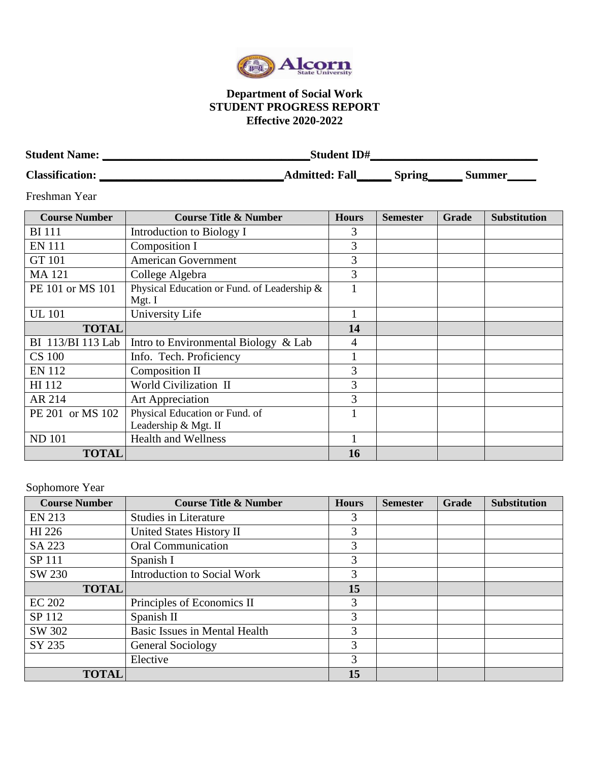

## **Department of Social Work STUDENT PROGRESS REPORT Effective 2020-2022**

| <b>Student Name:</b>   |                       | <b>Student ID#</b> |        |  |  |
|------------------------|-----------------------|--------------------|--------|--|--|
| <b>Classification:</b> | <b>Admitted: Fall</b> | Spring             | Summer |  |  |

Freshman Year

| <b>Course Number</b> | <b>Course Title &amp; Number</b>                       | <b>Hours</b> | <b>Semester</b> | Grade | <b>Substitution</b> |
|----------------------|--------------------------------------------------------|--------------|-----------------|-------|---------------------|
| BI 111               | Introduction to Biology I                              | 3            |                 |       |                     |
| <b>EN 111</b>        | Composition I                                          | 3            |                 |       |                     |
| <b>GT 101</b>        | <b>American Government</b>                             | 3            |                 |       |                     |
| MA 121               | College Algebra                                        | 3            |                 |       |                     |
| PE 101 or MS 101     | Physical Education or Fund. of Leadership &<br>Mgt. I  |              |                 |       |                     |
| <b>UL</b> 101        | University Life                                        |              |                 |       |                     |
| <b>TOTAL</b>         |                                                        | 14           |                 |       |                     |
| BI 113/BI 113 Lab    | Intro to Environmental Biology & Lab                   | 4            |                 |       |                     |
| <b>CS 100</b>        | Info. Tech. Proficiency                                |              |                 |       |                     |
| EN 112               | Composition II                                         | 3            |                 |       |                     |
| HI 112               | World Civilization II                                  | 3            |                 |       |                     |
| AR 214               | Art Appreciation                                       | 3            |                 |       |                     |
| PE 201 or MS 102     | Physical Education or Fund. of<br>Leadership & Mgt. II |              |                 |       |                     |
| <b>ND 101</b>        | <b>Health and Wellness</b>                             |              |                 |       |                     |
| <b>TOTAL</b>         |                                                        | 16           |                 |       |                     |

Sophomore Year

| <b>Course Number</b> | <b>Course Title &amp; Number</b>   | <b>Hours</b> | <b>Semester</b> | Grade | <b>Substitution</b> |
|----------------------|------------------------------------|--------------|-----------------|-------|---------------------|
| <b>EN 213</b>        | <b>Studies in Literature</b>       | 3            |                 |       |                     |
| HI 226               | United States History II           | 3            |                 |       |                     |
| SA 223               | <b>Oral Communication</b>          | 3            |                 |       |                     |
| SP 111               | Spanish I                          | 3            |                 |       |                     |
| SW 230               | <b>Introduction to Social Work</b> | 3            |                 |       |                     |
| <b>TOTAL</b>         |                                    | 15           |                 |       |                     |
| <b>EC 202</b>        | Principles of Economics II         | 3            |                 |       |                     |
| SP 112               | Spanish II                         | 3            |                 |       |                     |
| SW 302               | Basic Issues in Mental Health      | 3            |                 |       |                     |
| SY 235               | General Sociology                  | 3            |                 |       |                     |
|                      | Elective                           | 3            |                 |       |                     |
| <b>TOTAL</b>         |                                    | 15           |                 |       |                     |